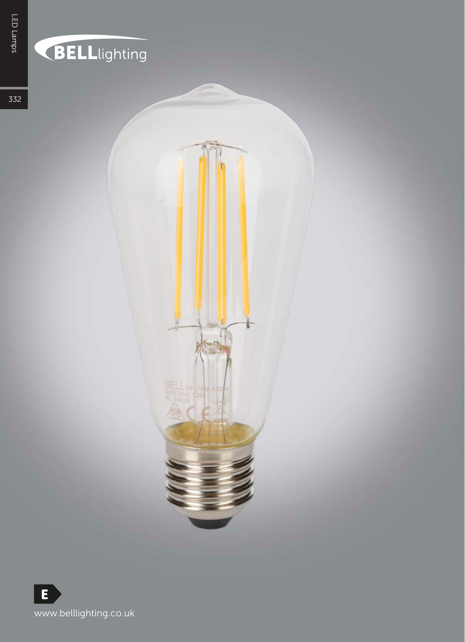## **BELL**lighting

332



BELL 4W 270 M 47